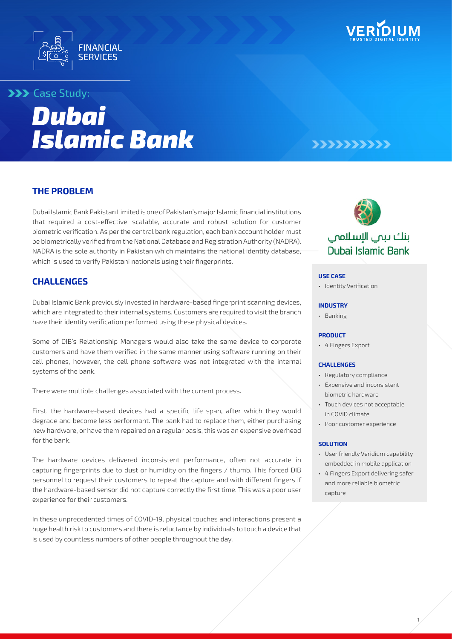



# **>>>** Case Study:

# *Dubai Islamic Bank*

# 777777777

# **THE PROBLEM**

Dubai Islamic Bank Pakistan Limited is one of Pakistan's major Islamic financial institutions that required a cost-effective, scalable, accurate and robust solution for customer biometric verification. As per the central bank regulation, each bank account holder must be biometrically verified from the National Database and Registration Authority (NADRA). NADRA is the sole authority in Pakistan which maintains the national identity database, which is used to verify Pakistani nationals using their fingerprints.

# **CHALLENGES**

Dubai Islamic Bank previously invested in hardware-based fingerprint scanning devices, which are integrated to their internal systems. Customers are required to visit the branch have their identity verification performed using these physical devices.

Some of DIB's Relationship Managers would also take the same device to corporate customers and have them verified in the same manner using software running on their cell phones, however, the cell phone software was not integrated with the internal systems of the bank.

There were multiple challenges associated with the current process.

First, the hardware-based devices had a specific life span, after which they would degrade and become less performant. The bank had to replace them, either purchasing new hardware, or have them repaired on a regular basis, this was an expensive overhead for the bank.

The hardware devices delivered inconsistent performance, often not accurate in capturing fingerprints due to dust or humidity on the fingers / thumb. This forced DIB personnel to request their customers to repeat the capture and with different fingers if the hardware-based sensor did not capture correctly the first time. This was a poor user experience for their customers.

In these unprecedented times of COVID-19, physical touches and interactions present a huge health risk to customers and there is reluctance by individuals to touch a device that is used by countless numbers of other people throughout the day.



# بنك دبمي الإسلامي Dubai Islamic Bank

#### **USE CASE**

• Identity Verification

#### **INDUSTRY**

• Banking

#### **PRODUCT**

• 4 Fingers Export

#### **CHALLENGES**

- Regulatory compliance
- Expensive and inconsistent biometric hardware
- Touch devices not acceptable in COVID climate
- Poor customer experience

#### **SOLUTION**

- User friendly Veridium capability embedded in mobile application
- 4 Fingers Export delivering safer and more reliable biometric capture

1